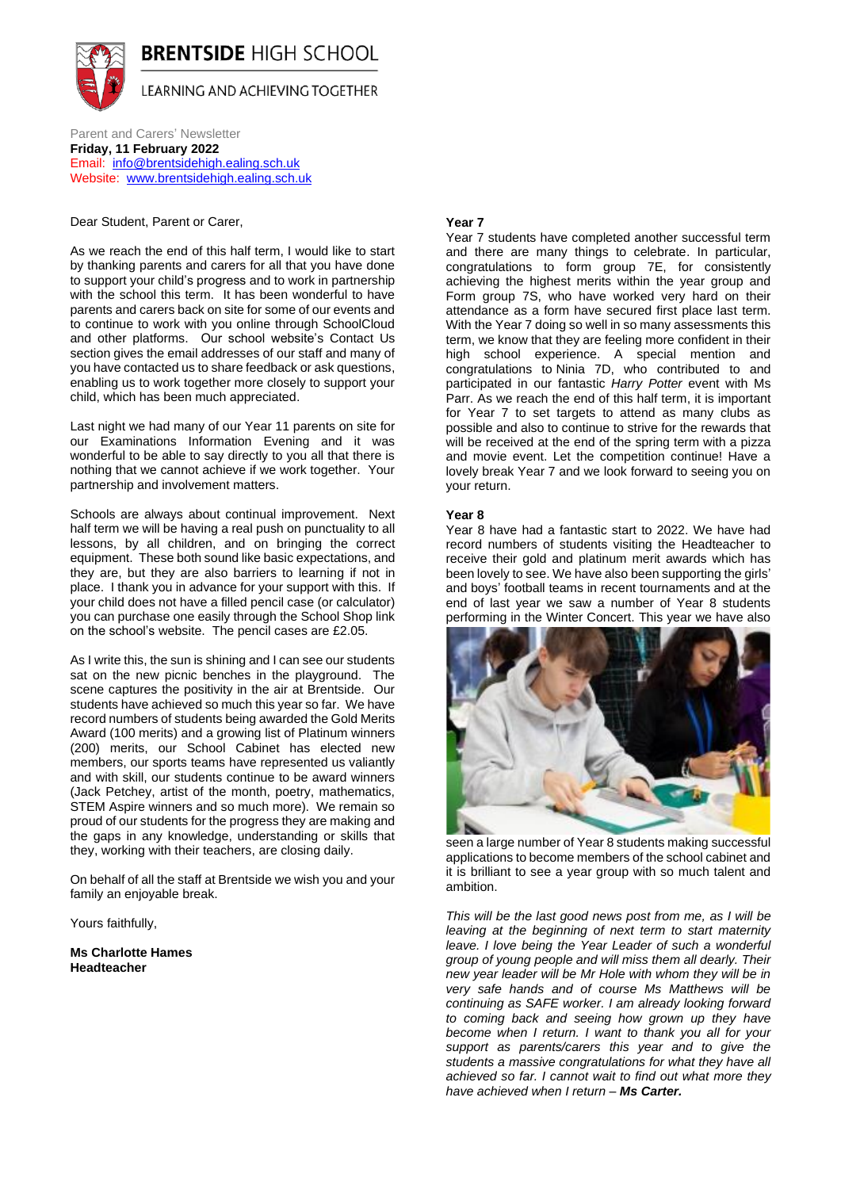

Parent and Carers' Newsletter **Friday, 11 February 2022**  Email: [info@brentsidehigh.ealing.sch.uk](mailto:info@brentsidehigh.ealing.sch.uk) Website: [www.brentsidehigh.ealing.sch.uk](http://www.brentsidehigh.ealing.sch.uk/)

Dear Student, Parent or Carer,

As we reach the end of this half term, I would like to start by thanking parents and carers for all that you have done to support your child's progress and to work in partnership with the school this term. It has been wonderful to have parents and carers back on site for some of our events and to continue to work with you online through SchoolCloud and other platforms. Our school website's Contact Us section gives the email addresses of our staff and many of you have contacted us to share feedback or ask questions, enabling us to work together more closely to support your child, which has been much appreciated.

Last night we had many of our Year 11 parents on site for our Examinations Information Evening and it was wonderful to be able to say directly to you all that there is nothing that we cannot achieve if we work together. Your partnership and involvement matters.

Schools are always about continual improvement. Next half term we will be having a real push on punctuality to all lessons, by all children, and on bringing the correct equipment. These both sound like basic expectations, and they are, but they are also barriers to learning if not in place. I thank you in advance for your support with this. If your child does not have a filled pencil case (or calculator) you can purchase one easily through the School Shop link on the school's website. The pencil cases are £2.05.

As I write this, the sun is shining and I can see our students sat on the new picnic benches in the playground. The scene captures the positivity in the air at Brentside. Our students have achieved so much this year so far. We have record numbers of students being awarded the Gold Merits Award (100 merits) and a growing list of Platinum winners (200) merits, our School Cabinet has elected new members, our sports teams have represented us valiantly and with skill, our students continue to be award winners (Jack Petchey, artist of the month, poetry, mathematics, STEM Aspire winners and so much more). We remain so proud of our students for the progress they are making and the gaps in any knowledge, understanding or skills that they, working with their teachers, are closing daily.

On behalf of all the staff at Brentside we wish you and your family an enjoyable break.

Yours faithfully,

**Ms Charlotte Hames Headteacher** 

# **Year 7**

Year 7 students have completed another successful term and there are many things to celebrate. In particular, congratulations to form group 7E, for consistently achieving the highest merits within the year group and Form group 7S, who have worked very hard on their attendance as a form have secured first place last term. With the Year 7 doing so well in so many assessments this term, we know that they are feeling more confident in their high school experience. A special mention and congratulations to Ninia 7D, who contributed to and participated in our fantastic *Harry Potter* event with Ms Parr. As we reach the end of this half term, it is important for Year 7 to set targets to attend as many clubs as possible and also to continue to strive for the rewards that will be received at the end of the spring term with a pizza and movie event. Let the competition continue! Have a lovely break Year 7 and we look forward to seeing you on your return.

# **Year 8**

Year 8 have had a fantastic start to 2022. We have had record numbers of students visiting the Headteacher to receive their gold and platinum merit awards which has been lovely to see. We have also been supporting the girls' and boys' football teams in recent tournaments and at the end of last year we saw a number of Year 8 students performing in the Winter Concert. This year we have also



seen a large number of Year 8 students making successful applications to become members of the school cabinet and it is brilliant to see a year group with so much talent and ambition.

*This will be the last good news post from me, as I will be leaving at the beginning of next term to start maternity leave. I love being the Year Leader of such a wonderful group of young people and will miss them all dearly. Their new year leader will be Mr Hole with whom they will be in very safe hands and of course Ms Matthews will be continuing as SAFE worker. I am already looking forward to coming back and seeing how grown up they have become when I return. I want to thank you all for your support as parents/carers this year and to give the students a massive congratulations for what they have all achieved so far. I cannot wait to find out what more they have achieved when I return – Ms Carter.*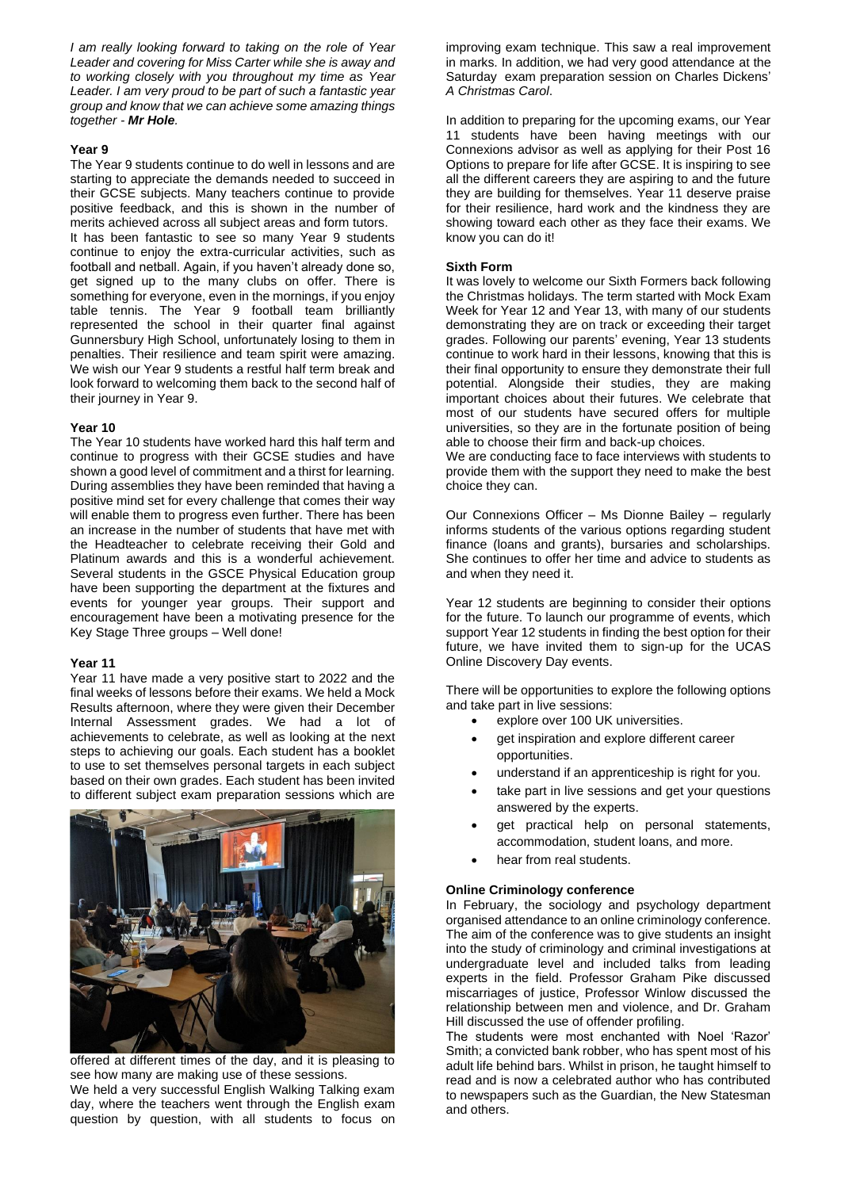*I am really looking forward to taking on the role of Year Leader and covering for Miss Carter while she is away and to working closely with you throughout my time as Year Leader. I am very proud to be part of such a fantastic year group and know that we can achieve some amazing things together - Mr Hole.*

# **Year 9**

The Year 9 students continue to do well in lessons and are starting to appreciate the demands needed to succeed in their GCSE subjects. Many teachers continue to provide positive feedback, and this is shown in the number of merits achieved across all subject areas and form tutors. It has been fantastic to see so many Year 9 students continue to enjoy the extra-curricular activities, such as football and netball. Again, if you haven't already done so, get signed up to the many clubs on offer. There is something for everyone, even in the mornings, if you enjoy table tennis. The Year 9 football team brilliantly represented the school in their quarter final against Gunnersbury High School, unfortunately losing to them in penalties. Their resilience and team spirit were amazing. We wish our Year 9 students a restful half term break and look forward to welcoming them back to the second half of their journey in Year 9.

# **Year 10**

The Year 10 students have worked hard this half term and continue to progress with their GCSE studies and have shown a good level of commitment and a thirst for learning. During assemblies they have been reminded that having a positive mind set for every challenge that comes their way will enable them to progress even further. There has been an increase in the number of students that have met with the Headteacher to celebrate receiving their Gold and Platinum awards and this is a wonderful achievement. Several students in the GSCE Physical Education group have been supporting the department at the fixtures and events for younger year groups. Their support and encouragement have been a motivating presence for the Key Stage Three groups – Well done!

# **Year 11**

Year 11 have made a very positive start to 2022 and the final weeks of lessons before their exams. We held a Mock Results afternoon, where they were given their December Internal Assessment grades. We had a lot of achievements to celebrate, as well as looking at the next steps to achieving our goals. Each student has a booklet to use to set themselves personal targets in each subject based on their own grades. Each student has been invited to different subject exam preparation sessions which are



offered at different times of the day, and it is pleasing to see how many are making use of these sessions. We held a very successful English Walking Talking exam

day, where the teachers went through the English exam question by question, with all students to focus on improving exam technique. This saw a real improvement in marks. In addition, we had very good attendance at the Saturday exam preparation session on Charles Dickens' *A Christmas Carol*.

In addition to preparing for the upcoming exams, our Year 11 students have been having meetings with our Connexions advisor as well as applying for their Post 16 Options to prepare for life after GCSE. It is inspiring to see all the different careers they are aspiring to and the future they are building for themselves. Year 11 deserve praise for their resilience, hard work and the kindness they are showing toward each other as they face their exams. We know you can do it!

# **Sixth Form**

It was lovely to welcome our Sixth Formers back following the Christmas holidays. The term started with Mock Exam Week for Year 12 and Year 13, with many of our students demonstrating they are on track or exceeding their target grades. Following our parents' evening, Year 13 students continue to work hard in their lessons, knowing that this is their final opportunity to ensure they demonstrate their full potential. Alongside their studies, they are making important choices about their futures. We celebrate that most of our students have secured offers for multiple universities, so they are in the fortunate position of being able to choose their firm and back-up choices.

We are conducting face to face interviews with students to provide them with the support they need to make the best choice they can.

Our Connexions Officer – Ms Dionne Bailey – regularly informs students of the various options regarding student finance (loans and grants), bursaries and scholarships. She continues to offer her time and advice to students as and when they need it.

Year 12 students are beginning to consider their options for the future. To launch our programme of events, which support Year 12 students in finding the best option for their future, we have invited them to sign-up for the UCAS Online Discovery Day events.

There will be opportunities to explore the following options and take part in live sessions:

- explore over 100 UK universities.
- get inspiration and explore different career opportunities.
- understand if an apprenticeship is right for you.
- take part in live sessions and get your questions answered by the experts.
- get practical help on personal statements, accommodation, student loans, and more.
- hear from real students.

# **Online Criminology conference**

In February, the sociology and psychology department organised attendance to an online criminology conference. The aim of the conference was to give students an insight into the study of criminology and criminal investigations at undergraduate level and included talks from leading experts in the field. Professor Graham Pike discussed miscarriages of justice, Professor Winlow discussed the relationship between men and violence, and Dr. Graham Hill discussed the use of offender profiling.

The students were most enchanted with Noel 'Razor' Smith; a convicted bank robber, who has spent most of his adult life behind bars. Whilst in prison, he taught himself to read and is now a celebrated author who has contributed to newspapers such as the Guardian, the New Statesman and others.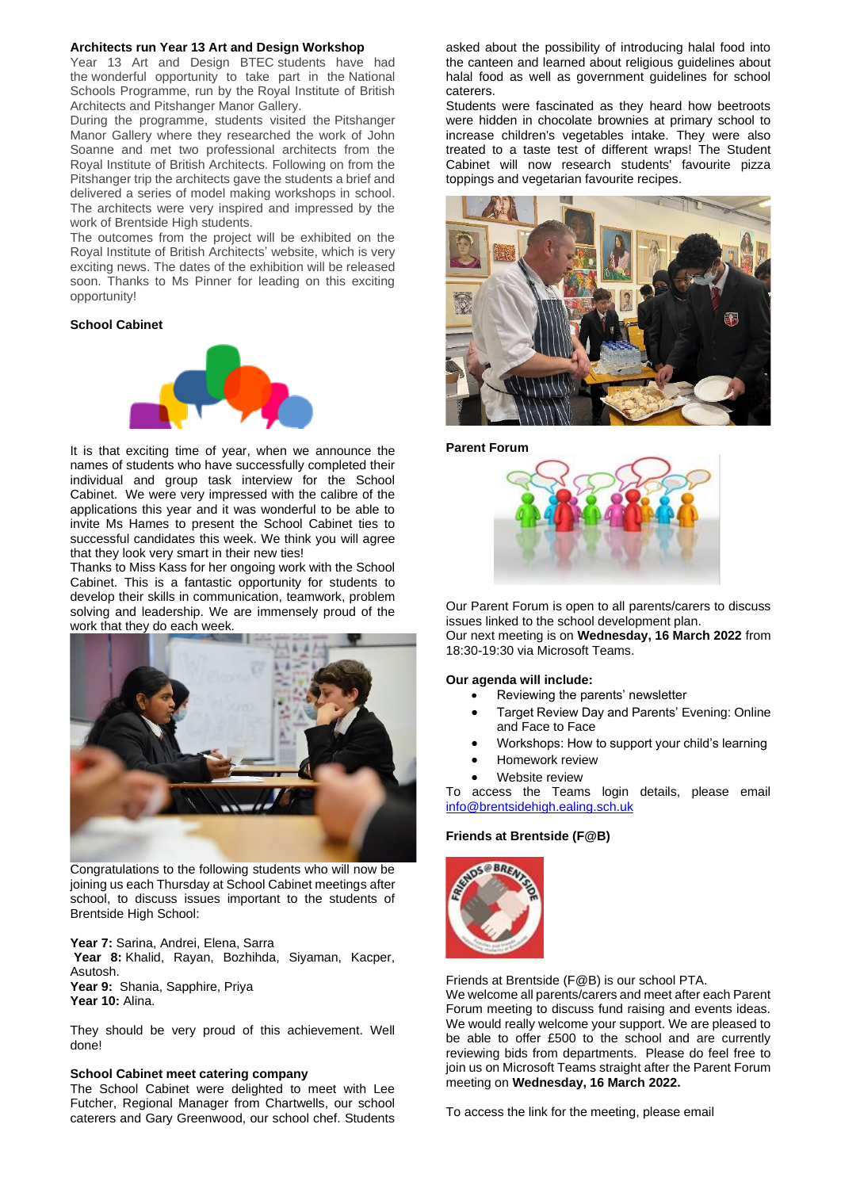#### **Architects run Year 13 Art and Design Workshop**

Year 13 Art and Design BTEC students have had the wonderful opportunity to take part in the National Schools Programme, run by the Royal Institute of British Architects and Pitshanger Manor Gallery.

During the programme, students visited the Pitshanger Manor Gallery where they researched the work of John Soanne and met two professional architects from the Royal Institute of British Architects. Following on from the Pitshanger trip the architects gave the students a brief and delivered a series of model making workshops in school. The architects were very inspired and impressed by the work of Brentside High students.

The outcomes from the project will be exhibited on the Royal Institute of British Architects' website, which is very exciting news. The dates of the exhibition will be released soon. Thanks to Ms Pinner for leading on this exciting opportunity!

# **School Cabinet**



It is that exciting time of year, when we announce the names of students who have successfully completed their individual and group task interview for the School Cabinet. We were very impressed with the calibre of the applications this year and it was wonderful to be able to invite Ms Hames to present the School Cabinet ties to successful candidates this week. We think you will agree that they look very smart in their new ties!

Thanks to Miss Kass for her ongoing work with the School Cabinet. This is a fantastic opportunity for students to develop their skills in communication, teamwork, problem solving and leadership. We are immensely proud of the work that they do each week.



Congratulations to the following students who will now be joining us each Thursday at School Cabinet meetings after school, to discuss issues important to the students of Brentside High School:

**Year 7:** Sarina, Andrei, Elena, Sarra **Year 8:** Khalid, Rayan, Bozhihda, Siyaman, Kacper, Asutosh. **Year 9:** Shania, Sapphire, Priya

Year 10: Alina.

They should be very proud of this achievement. Well done!

#### **School Cabinet meet catering company**

The School Cabinet were delighted to meet with Lee Futcher, Regional Manager from Chartwells, our school caterers and Gary Greenwood, our school chef. Students

asked about the possibility of introducing halal food into the canteen and learned about religious guidelines about halal food as well as government guidelines for school caterers.

Students were fascinated as they heard how beetroots were hidden in chocolate brownies at primary school to increase children's vegetables intake. They were also treated to a taste test of different wraps! The Student Cabinet will now research students' favourite pizza toppings and vegetarian favourite recipes.



**Parent Forum**



Our Parent Forum is open to all parents/carers to discuss issues linked to the school development plan. Our next meeting is on **Wednesday, 16 March 2022** from 18:30-19:30 via Microsoft Teams.

# **Our agenda will include:**

- Reviewing the parents' newsletter
- Target Review Day and Parents' Evening: Online and Face to Face
- Workshops: How to support your child's learning
- Homework review
- Website review

To access the Teams login details, please email [info@brentsidehigh.ealing.sch.uk](mailto:info@brentsidehigh.ealing.sch.uk)

#### **Friends at Brentside (F@B)**



Friends at Brentside (F@B) is our school PTA.

We welcome all parents/carers and meet after each Parent Forum meeting to discuss fund raising and events ideas. We would really welcome your support. We are pleased to be able to offer £500 to the school and are currently reviewing bids from departments. Please do feel free to join us on Microsoft Teams straight after the Parent Forum meeting on **Wednesday, 16 March 2022.**

To access the link for the meeting, please email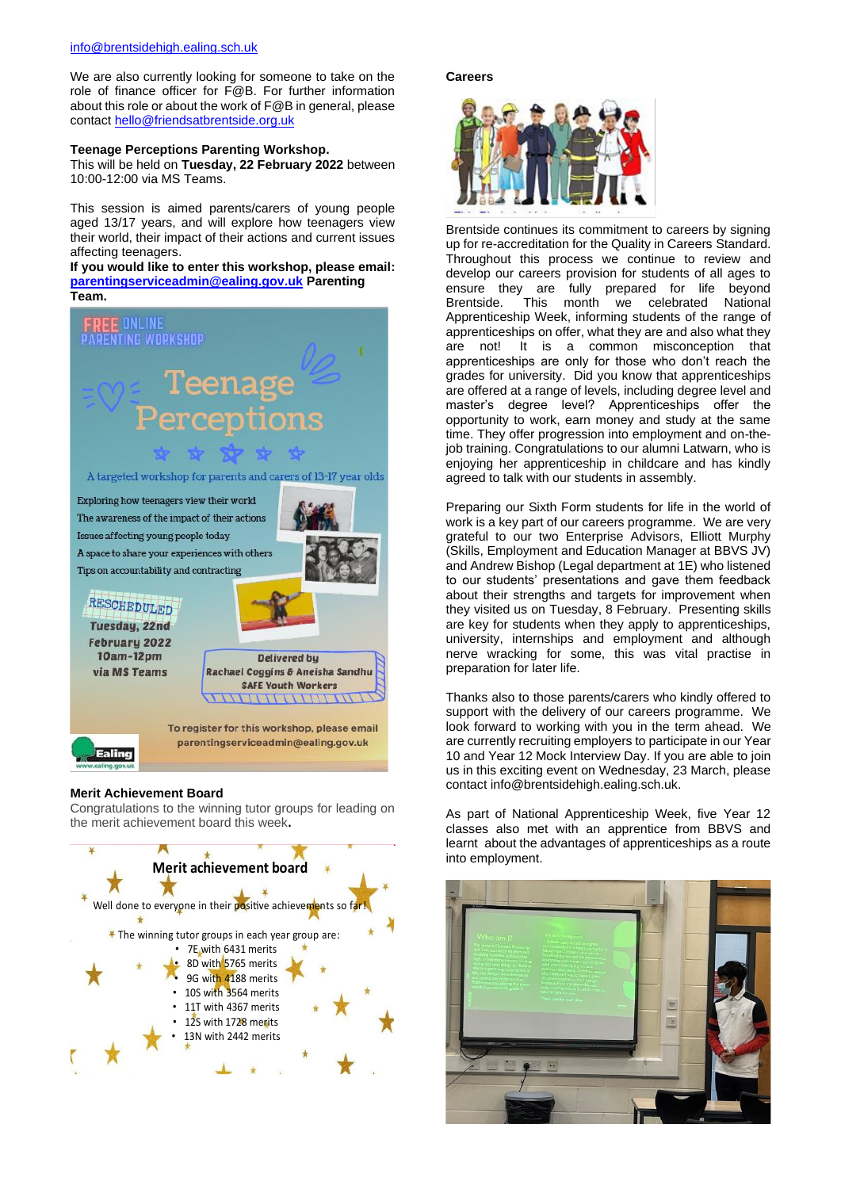We are also currently looking for someone to take on the role of finance officer for F@B. For further information about this role or about the work of F@B in general, please contact [hello@friendsatbrentside.org.uk](mailto:hello@friendsatbrentside.org.uk)

# **Teenage Perceptions Parenting Workshop.**

This will be held on **Tuesday, 22 February 2022** between 10:00-12:00 via MS Teams.

This session is aimed parents/carers of young people aged 13/17 years, and will explore how teenagers view their world, their impact of their actions and current issues affecting teenagers.

**If you would like to enter this workshop, please email: [parentingserviceadmin@ealing.gov.uk](mailto:parentingserviceadmin@ealing.gov.uk) Parenting Team.**



# **Merit Achievement Board**

Congratulations to the winning tutor groups for leading on the merit achievement board this week**.**



#### **Careers**



Brentside continues its commitment to careers by signing up for re-accreditation for the Quality in Careers Standard. Throughout this process we continue to review and develop our careers provision for students of all ages to ensure they are fully prepared for life beyond Brentside. This month we celebrated National Apprenticeship Week, informing students of the range of apprenticeships on offer, what they are and also what they are not! It is a common misconception that apprenticeships are only for those who don't reach the grades for university. Did you know that apprenticeships are offered at a range of levels, including degree level and master's degree level? Apprenticeships offer the opportunity to work, earn money and study at the same time. They offer progression into employment and on-thejob training. Congratulations to our alumni Latwarn, who is enjoying her apprenticeship in childcare and has kindly agreed to talk with our students in assembly.

Preparing our Sixth Form students for life in the world of work is a key part of our careers programme. We are very grateful to our two Enterprise Advisors, Elliott Murphy (Skills, Employment and Education Manager at BBVS JV) and Andrew Bishop (Legal department at 1E) who listened to our students' presentations and gave them feedback about their strengths and targets for improvement when they visited us on Tuesday, 8 February. Presenting skills are key for students when they apply to apprenticeships, university, internships and employment and although nerve wracking for some, this was vital practise in preparation for later life.

Thanks also to those parents/carers who kindly offered to support with the delivery of our careers programme. We look forward to working with you in the term ahead. We are currently recruiting employers to participate in our Year 10 and Year 12 Mock Interview Day. If you are able to join us in this exciting event on Wednesday, 23 March, please contact info@brentsidehigh.ealing.sch.uk.

As part of National Apprenticeship Week, five Year 12 classes also met with an apprentice from BBVS and learnt about the advantages of apprenticeships as a route into employment.

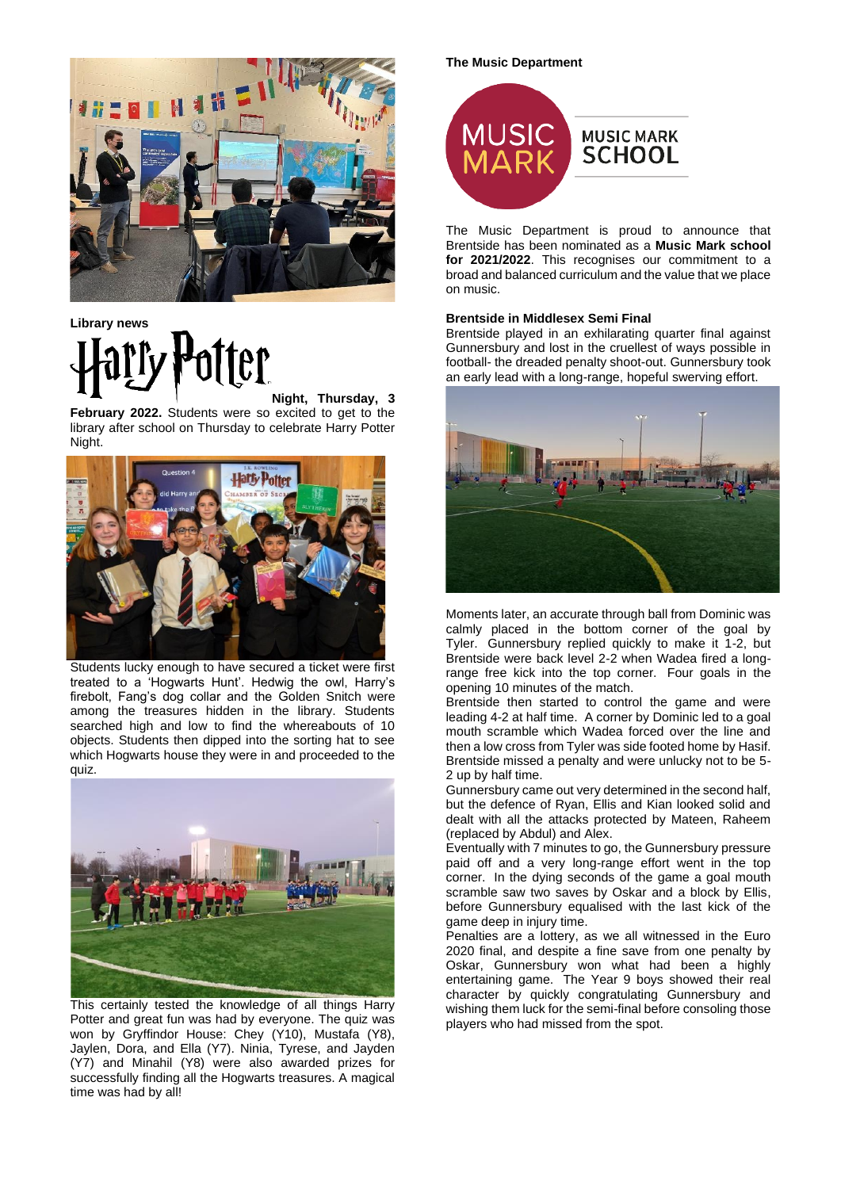

**Library news** ter

**Night, Thursday, 3 February 2022.** Students were so excited to get to the library after school on Thursday to celebrate Harry Potter Night.



Students lucky enough to have secured a ticket were first treated to a 'Hogwarts Hunt'. Hedwig the owl, Harry's firebolt, Fang's dog collar and the Golden Snitch were among the treasures hidden in the library. Students searched high and low to find the whereabouts of 10 objects. Students then dipped into the sorting hat to see which Hogwarts house they were in and proceeded to the quiz.



This certainly tested the knowledge of all things Harry Potter and great fun was had by everyone. The quiz was won by Gryffindor House: Chey (Y10), Mustafa (Y8), Jaylen, Dora, and Ella (Y7). Ninia, Tyrese, and Jayden (Y7) and Minahil (Y8) were also awarded prizes for successfully finding all the Hogwarts treasures. A magical time was had by all!

#### **The Music Department**



The Music Department is proud to announce that Brentside has been nominated as a **Music Mark school for 2021/2022**. This recognises our commitment to a broad and balanced curriculum and the value that we place on music.

# **Brentside in Middlesex Semi Final**

Brentside played in an exhilarating quarter final against Gunnersbury and lost in the cruellest of ways possible in football- the dreaded penalty shoot-out. Gunnersbury took an early lead with a long-range, hopeful swerving effort.



Moments later, an accurate through ball from Dominic was calmly placed in the bottom corner of the goal by Tyler. Gunnersbury replied quickly to make it 1-2, but Brentside were back level 2-2 when Wadea fired a longrange free kick into the top corner. Four goals in the opening 10 minutes of the match.

Brentside then started to control the game and were leading 4-2 at half time. A corner by Dominic led to a goal mouth scramble which Wadea forced over the line and then a low cross from Tyler was side footed home by Hasif. Brentside missed a penalty and were unlucky not to be 5- 2 up by half time.

Gunnersbury came out very determined in the second half, but the defence of Ryan, Ellis and Kian looked solid and dealt with all the attacks protected by Mateen, Raheem (replaced by Abdul) and Alex.

Eventually with 7 minutes to go, the Gunnersbury pressure paid off and a very long-range effort went in the top corner. In the dying seconds of the game a goal mouth scramble saw two saves by Oskar and a block by Ellis, before Gunnersbury equalised with the last kick of the game deep in injury time.

Penalties are a lottery, as we all witnessed in the Euro 2020 final, and despite a fine save from one penalty by Oskar, Gunnersbury won what had been a highly entertaining game. The Year 9 boys showed their real character by quickly congratulating Gunnersbury and wishing them luck for the semi-final before consoling those players who had missed from the spot.